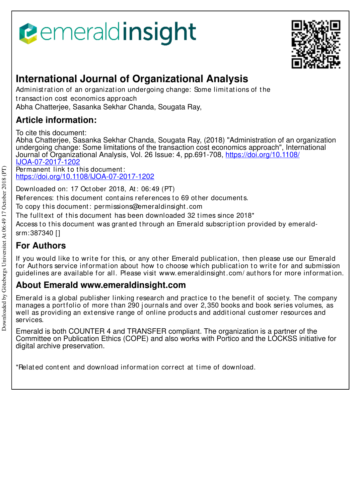# *<u><b>eemeraldinsight</u>*



## **International Journal of Organizational Analysis**

Administ rat ion of an organizat ion undergoing change: Some limit at ions of t he t ransact ion cost economics approach Abha Chatterjee, Sasanka Sekhar Chanda, Sougata Ray,

## **Article information:**

To cite this document:

Abha Chatterjee, Sasanka Sekhar Chanda, Sougata Ray, (2018) "Administration of an organization undergoing change: Some limitations of the transaction cost economics approach", International Journal of Organizational Analysis, Vol. 26 Issue: 4, pp.691-708, https://doi.org/10.1108/ IJOA-07-2017-1202

Permanent link to this document: https://doi.org/10.1108/IJOA-07-2017-1202

Downloaded on: 17 Oct ober 2018, At : 06:49 (PT)

References: this document contains references to 69 other documents.

To copy t his document : permissions@emeraldinsight .com

The fulltext of this document has been downloaded  $32$  times since  $2018<sup>*</sup>$ 

Access to this document was granted through an Emerald subscription provided by emeraldsrm:387340 []

## **For Authors**

If you would like to write for this, or any other Emerald publication, then please use our Emerald for Authors service information about how to choose which publication to write for and submission guidelines are available for all. Please visit www.emeraldinsight .com/ aut hors for more informat ion.

## **About Emerald www.emeraldinsight.com**

Emerald is a global publisher linking research and practice to the benefit of society. The company manages a portfolio of more than 290 journals and over 2,350 books and book series volumes, as well as providing an extensive range of online products and additional customer resources and services.

Emerald is both COUNTER 4 and TRANSFER compliant. The organization is a partner of the Committee on Publication Ethics (COPE) and also works with Portico and the LOCKSS initiative for digital archive preservation.

\*Related content and download information correct at time of download.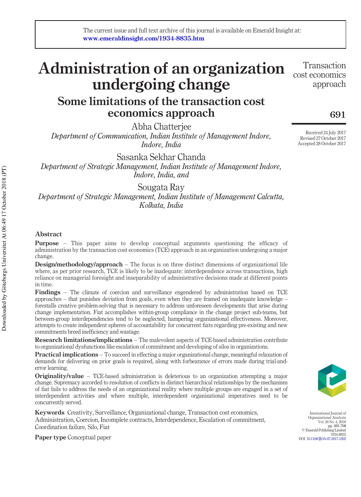## Administration of an organization undergoing change

### Some limitations of the transaction cost economics approach

Abha Chatterjee

*Department of Communication, Indian Institute of Management Indore, Indore, India*

Sasanka Sekhar Chanda

*Department of Strategic Management, Indian Institute of Management Indore, Indore, India, and*

Sougata Ray

*Department of Strategic Management, Indian Institute of Management Calcutta, Kolkata, India*

#### Abstract

**Purpose** – This paper aims to develop conceptual arguments questioning the efficacy of administration by the transaction cost economics (TCE) approach in an organization undergoing a major change.

**Design/methodology/approach** – The focus is on three distinct dimensions of organizational life where, as per prior research, TCE is likely to be inadequate: interdependence across transactions, high reliance on managerial foresight and inseparability of administrative decisions made at different points in time.

Findings – The climate of coercion and surveillance engendered by administration based on TCE approaches – that punishes deviation from goals, even when they are framed on inadequate knowledge – forestalls creative problem-solving that is necessary to address unforeseen developments that arise during change implementation. Fiat accomplishes within-group compliance in the change project sub-teams, but between-group interdependencies tend to be neglected, hampering organizational effectiveness. Moreover, attempts to create independent spheres of accountability for concurrent fiats regarding pre-existing and new commitments breed inefficiency and wastage.

Research limitations/implications - The malevolent aspects of TCE-based administration contribute to organizational dysfunctions like escalation of commitment and developing of silos in organizations.

**Practical implications** – To succeed in effecting a major organizational change, meaningful relaxation of demands for delivering on prior goals is required, along with forbearance of errors made during trial-anderror learning.

**Originality/value** – TCE-based administration is deleterious to an organization attempting a major change. Supremacy accorded to resolution of conflicts in distinct hierarchical relationships by the mechanism of fiat fails to address the needs of an organizational reality where multiple groups are engaged in a set of interdependent activities and where multiple, interdependent organizational imperatives need to be concurrently served.

Keywords Creativity, Surveillance, Organizational change, Transaction cost economics, Administration, Coercion, Incomplete contracts, Interdependence, Escalation of commitment, Coordination failure, Silo, Fiat

International Journal of Organizational Analysis Vol. 26 No. 4, 2018 pp. 691-708 © Emerald Publishing Limited 1934-8835 DOI 10.1108/IJOA-07-2017-1202

Paper type Conceptual paper

691

Transaction cost economics approach

Received 24 July 2017 Revised 27 October 2017 Accepted 28 October 2017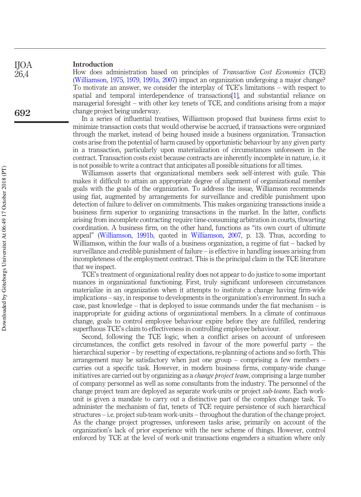#### Introduction IJOA

26,4

692

How does administration based on principles of *Transaction Cost Economics* (TCE) (Williamson, 1975, 1979, 1991a, 2007) impact an organization undergoing a major change? To motivate an answer, we consider the interplay of TCE's limitations – with respect to spatial and temporal interdependence of transactions[1], and substantial reliance on managerial foresight – with other key tenets of TCE, and conditions arising from a major change project being underway.

In a series of influential treatises, Williamson proposed that business firms exist to minimize transaction costs that would otherwise be accrued, if transactions were organized through the market, instead of being housed inside a business organization. Transaction costs arise from the potential of harm caused by opportunistic behaviour by any given party in a transaction, particularly upon materialization of circumstances unforeseen in the contract. Transaction costs exist because contracts are inherently incomplete in nature, i.e. it is not possible to write a contract that anticipates all possible situations for all times.

Williamson asserts that organizational members seek self-interest with guile. This makes it difficult to attain an appropriate degree of alignment of organizational member goals with the goals of the organization. To address the issue, Williamson recommends using fiat, augmented by arrangements for surveillance and credible punishment upon detection of failure to deliver on commitments. This makes organizing transactions inside a business firm superior to organizing transactions in the market. In the latter, conflicts arising from incomplete contracting require time-consuming arbitration in courts, thwarting coordination. A business firm, on the other hand, functions as "its own court of ultimate appeal" (Williamson, 1991b, quoted in Williamson, 2007, p. 13). Thus, according to Williamson, within the four walls of a business organization, a regime of fiat – backed by surveillance and credible punishment of failure – is effective in handling issues arising from incompleteness of the employment contract. This is the principal claim in the TCE literature that we inspect.

TCE's treatment of organizational reality does not appear to do justice to some important nuances in organizational functioning. First, truly significant unforeseen circumstances materialize in an organization when it attempts to institute a change having firm-wide implications – say, in response to developments in the organization's environment. In such a case, past knowledge – that is deployed to issue commands under the fiat mechanism – is inappropriate for guiding actions of organizational members. In a climate of continuous change, goals to control employee behaviour expire before they are fulfilled, rendering superfluous TCE's claim to effectiveness in controlling employee behaviour.

Second, following the TCE logic, when a conflict arises on account of unforeseen circumstances, the conflict gets resolved in favour of the more powerful party – the hierarchical superior – by resetting of expectations, re-planning of actions and so forth. This arrangement may be satisfactory when just one group – comprising a few members – carries out a specific task. However, in modern business firms, company-wide change initiatives are carried out by organizing as a *change project team*, comprising a large number of company personnel as well as some consultants from the industry. The personnel of the change project team are deployed as separate work-units or project *sub-teams*. Each workunit is given a mandate to carry out a distinctive part of the complex change task. To administer the mechanism of fiat, tenets of TCE require persistence of such hierarchical structures – i.e. project sub-team work-units – throughout the duration of the change project. As the change project progresses, unforeseen tasks arise, primarily on account of the organization's lack of prior experience with the new scheme of things. However, control enforced by TCE at the level of work-unit transactions engenders a situation where only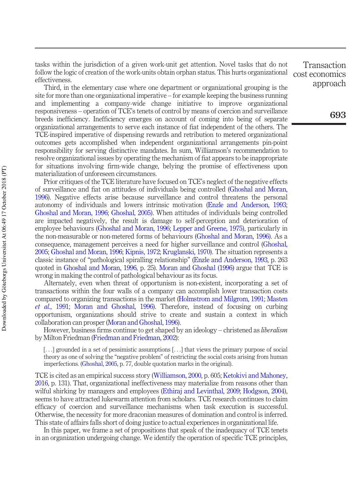tasks within the jurisdiction of a given work-unit get attention. Novel tasks that do not follow the logic of creation of the work-units obtain orphan status. This hurts organizational effectiveness.

Third, in the elementary case where one department or organizational grouping is the site for more than one organizational imperative – for example keeping the business running and implementing a company-wide change initiative to improve organizational responsiveness – operation of TCE's tenets of control by means of coercion and surveillance breeds inefficiency. Inefficiency emerges on account of coming into being of separate organizational arrangements to serve each instance of fiat independent of the others. The TCE-inspired imperative of dispensing rewards and retribution to metered organizational outcomes gets accomplished when independent organizational arrangements pin-point responsibility for serving distinctive mandates. In sum, Williamson's recommendation to resolve organizational issues by operating the mechanism of fiat appears to be inappropriate for situations involving firm-wide change, belying the promise of effectiveness upon materialization of unforeseen circumstances.

Prior critiques of the TCE literature have focused on TCE's neglect of the negative effects of surveillance and fiat on attitudes of individuals being controlled (Ghoshal and Moran, 1996). Negative effects arise because surveillance and control threatens the personal autonomy of individuals and lowers intrinsic motivation (Enzle and Anderson, 1993; Ghoshal and Moran, 1996; Ghoshal, 2005). When attitudes of individuals being controlled are impacted negatively, the result is damage to self-perception and deterioration of employee behaviours (Ghoshal and Moran, 1996; Lepper and Greene, 1975), particularly in the non-measurable or non-metered forms of behaviours (Ghoshal and Moran, 1996). As a consequence, management perceives a need for higher surveillance and control (Ghoshal, 2005; Ghoshal and Moran, 1996; Kipnis, 1972; Kruglanski, 1970). The situation represents a classic instance of "pathological spiralling relationship" (Enzle and Anderson, 1993, p. 263 quoted in Ghoshal and Moran, 1996, p. 25). Moran and Ghoshal (1996) argue that TCE is wrong in making the control of pathological behaviour as its focus.

Alternately, even when threat of opportunism is non-existent, incorporating a set of transactions within the four walls of a company can accomplish lower transaction costs compared to organizing transactions in the market (Holmstrom and Milgrom, 1991; Masten *et al.*, 1991; Moran and Ghoshal, 1996). Therefore, instead of focusing on curbing opportunism, organizations should strive to create and sustain a context in which collaboration can prosper (Moran and Ghoshal, 1996).

However, business firms continue to get shaped by an ideology – christened as *liberalism* by Milton Friedman (Friedman and Friedman, 2002):

[...] grounded in a set of pessimistic assumptions [...] that views the primary purpose of social theory as one of solving the "negative problem" of restricting the social costs arising from human imperfections. (Ghoshal, 2005, p. 77, double quotation marks in the original).

TCE is cited as an empirical success story (Williamson, 2000, p. 605; Ketokivi and Mahoney, 2016, p. 131). That, organizational ineffectiveness may materialize from reasons other than wilful shirking by managers and employees (Ethiraj and Levinthal, 2009; Hodgson, 2004), seems to have attracted lukewarm attention from scholars. TCE research continues to claim efficacy of coercion and surveillance mechanisms when task execution is successful. Otherwise, the necessity for more draconian measures of domination and control is inferred. This state of affairs falls short of doing justice to actual experiences in organizational life.

In this paper, we frame a set of propositions that speak of the inadequacy of TCE tenets in an organization undergoing change. We identify the operation of specific TCE principles,

Transaction cost economics approach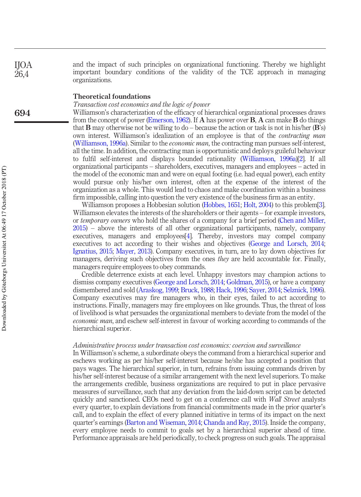and the impact of such principles on organizational functioning. Thereby we highlight important boundary conditions of the validity of the TCE approach in managing organizations. IJOA 26,4

#### Theoretical foundations

*Transaction cost economics and the logic of power*

Williamson's characterization of the efficacy of hierarchical organizational processes draws from the concept of power (Emerson, 1962). If  $A$  has power over  $B$ ,  $A$  can make  $B$  do things that **B** may otherwise not be willing to do – because the action or task is not in his/her  $(\mathbf{B})$ 's) own interest. Williamson's idealization of an employee is that of the *contracting man* (Williamson, 1996a). Similar to the *economic man*, the contracting man pursues self-interest, all the time. In addition, the contracting man is opportunistic and deploys guileful behaviour to fulfil self-interest and displays bounded rationality (Williamson, 1996a)[2]. If all organizational participants – shareholders, executives, managers and employees – acted in the model of the economic man and were on equal footing (i.e. had equal power), each entity would pursue only his/her own interest, often at the expense of the interest of the organization as a whole. This would lead to chaos and make coordination within a business firm impossible, calling into question the very existence of the business firm as an entity.

Williamson proposes a Hobbesian solution (Hobbes, 1651; Holt, 2004) to this problem[3]. Williamson elevates the interests of the shareholders or their agents – for example investors, or *temporary owners* who hold the shares of a company for a brief period (Chen and Miller, 2015) – above the interests of all other organizational participants, namely, company executives, managers and employees[4]. Thereby, investors may compel company executives to act according to their wishes and objectives (George and Lorsch, 2014; Ignatius, 2015; Mayer, 2013). Company executives, in turn, are to lay down objectives for managers, deriving such objectives from the ones *they* are held accountable for. Finally, managers require employees to obey commands.

Credible deterrence exists at each level. Unhappy investors may champion actions to dismiss company executives (George and Lorsch, 2014; Goldman, 2015), or have a company dismembered and sold (Araskog, 1999; Bruck, 1988; Hack, 1996; Sayer, 2014; Selznick, 1996). Company executives may fire managers who, in their eyes, failed to act according to instructions. Finally, managers may fire employees on like grounds. Thus, the threat of loss of livelihood is what persuades the organizational members to deviate from the model of the *economic man*, and eschew self-interest in favour of working according to commands of the hierarchical superior.

#### *Administrative process under transaction cost economics: coercion and surveillance*

In Williamson's scheme, a subordinate obeys the command from a hierarchical superior and eschews working as per his/her self-interest because he/she has accepted a position that pays wages. The hierarchical superior, in turn, refrains from issuing commands driven by his/her self-interest because of a similar arrangement with the next level superiors. To make the arrangements credible, business organizations are required to put in place pervasive measures of surveillance, such that any deviation from the laid-down script can be detected quickly and sanctioned. CEOs need to get on a conference call with *Wall Street* analysts every quarter, to explain deviations from financial commitments made in the prior quarter's call, and to explain the effect of every planned initiative in terms of its impact on the next quarter's earnings (Barton and Wiseman, 2014; Chanda and Ray, 2015). Inside the company, every employee needs to commit to goals set by a hierarchical superior ahead of time. Performance appraisals are held periodically, to check progress on such goals. The appraisal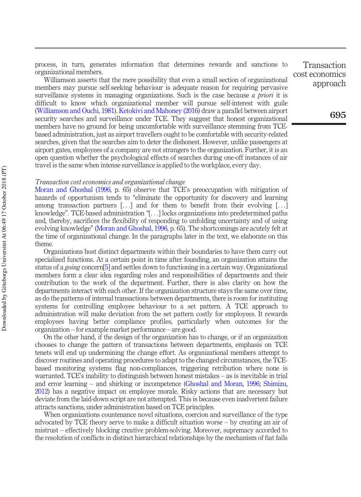process, in turn, generates information that determines rewards and sanctions to organizational members.

Williamson asserts that the mere possibility that even a small section of organizational members may pursue self-seeking behaviour is adequate reason for requiring pervasive surveillance systems in managing organizations. Such is the case because *a priori* it is difficult to know which organizational member will pursue self-interest with guile (Williamson and Ouchi, 1981). Ketokivi and Mahoney (2016) draw a parallel between airport security searches and surveillance under TCE. They suggest that honest organizational members have no ground for being uncomfortable with surveillance stemming from TCEbased administration, just as airport travellers ought to be comfortable with security-related searches, given that the searches aim to deter the dishonest. However, unlike passengers at airport gates, employees of a company are not strangers to the organization. Further, it is an open question whether the psychological effects of searches during one-off instances of air travel is the same when intense surveillance is applied to the workplace, every day.

#### *Transaction cost economics and organizational change*

Moran and Ghoshal (1996, p. 65) observe that TCE's preoccupation with mitigation of hazards of opportunism tends to "eliminate the opportunity for discovery and learning among transaction partners  $[\ldots]$  and for them to benefit from their evolving  $[\ldots]$ knowledge". TCE-based administration "[...] locks organizations into predetermined paths and, thereby, sacrifices the flexibility of responding to unfolding uncertainty and of using evolving knowledge" (Moran and Ghoshal, 1996, p. 65). The shortcomings are acutely felt at the time of organizational change. In the paragraphs later in the text, we elaborate on this theme.

Organizations host distinct departments within their boundaries to have them carry out specialized functions. At a certain point in time after founding, an organization attains the status of a *going* concern[5] and settles down to functioning in a certain way. Organizational members form a clear idea regarding roles and responsibilities of departments and their contribution to the work of the department. Further, there is also clarity on how the departments interact with each other. If the organization structure stays the same over time, as do the patterns of internal transactions between departments, there is room for instituting systems for controlling employee behaviour to a set pattern. A TCE approach to administration will make deviation from the set pattern costly for employees. It rewards employees having better compliance profiles, particularly when outcomes for the organization – for example market performance – are good.

On the other hand, if the design of the organization has to change, or if an organization chooses to change the pattern of transactions between departments, emphasis on TCE tenets will end up undermining the change effort. As organizational members attempt to discover routines and operating procedures to adapt to the changed circumstances, the TCEbased monitoring systems flag non-compliances, triggering retribution where none is warranted. TCE's inability to distinguish between honest mistakes – as is inevitable in trial and error learning – and shirking or incompetence (Ghoshal and Moran, 1996; Shimizu, 2012) has a negative impact on employee morale. Risky actions that are necessary but deviate from the laid-down script are not attempted. This is because even inadvertent failure attracts sanctions, under administration based on TCE principles.

When organizations countenance novel situations, coercion and surveillance of the type advocated by TCE theory serve to make a difficult situation worse – by creating an air of mistrust – effectively blocking creative problem-solving. Moreover, supremacy accorded to the resolution of conflicts in distinct hierarchical relationships by the mechanism of fiat fails

cost economics approach

Transaction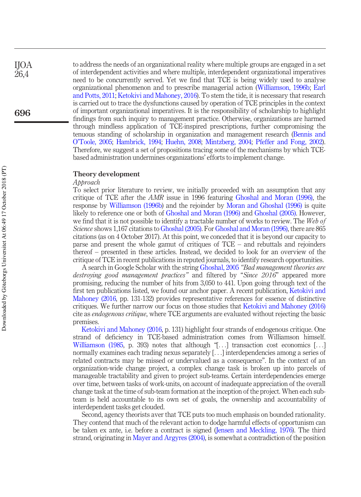to address the needs of an organizational reality where multiple groups are engaged in a set of interdependent activities and where multiple, interdependent organizational imperatives need to be concurrently served. Yet we find that TCE is being widely used to analyse organizational phenomenon and to prescribe managerial action (Williamson, 1996b; Earl and Potts, 2011; Ketokivi and Mahoney, 2016). To stem the tide, it is necessary that research is carried out to trace the dysfunctions caused by operation of TCE principles in the context of important organizational imperatives. It is the responsibility of scholarship to highlight findings from such inquiry to management practice. Otherwise, organizations are harmed through mindless application of TCE-inspired prescriptions, further compromising the tenuous standing of scholarship in organization and management research (Bennis and O'Toole, 2005; Hambrick, 1994; Huehn, 2008; Mintzberg, 2004; Pfeffer and Fong, 2002). Therefore, we suggest a set of propositions tracing some of the mechanisms by which TCEbased administration undermines organizations' efforts to implement change.

#### Theory development

#### *Approach*

To select prior literature to review, we initially proceeded with an assumption that any critique of TCE after the *AMR* issue in 1996 featuring Ghoshal and Moran (1996), the response by Williamson (1996b) and the rejoinder by Moran and Ghoshal (1996) is quite likely to reference one or both of Ghoshal and Moran (1996) and Ghoshal (2005). However, we find that it is not possible to identify a tractable number of works to review. The *Web of Science* shows 1,167 citations to Ghoshal (2005). For Ghoshal and Moran (1996), there are 865 citations (as on 4 October 2017). At this point, we conceded that it is beyond our capacity to parse and present the whole gamut of critiques of TCE – and rebuttals and rejoinders thereof – presented in these articles. Instead, we decided to look for an overview of the critique of TCE in recent publications in reputed journals, to identify research opportunities.

A search in Google Scholar with the string Ghoshal, 2005 "*Bad management theories are destroying good management practices*" and filtered by "*Since 2016*" appeared more promising, reducing the number of hits from 3,050 to 441. Upon going through text of the first ten publications listed, we found our anchor paper. A recent publication, Ketokivi and Mahoney (2016, pp. 131-132) provides representative references for essence of distinctive critiques. We further narrow our focus on those studies that Ketokivi and Mahoney (2016) cite as *endogenous critique*, where TCE arguments are evaluated without rejecting the basic premises.

Ketokivi and Mahoney (2016, p. 131) highlight four strands of endogenous critique. One strand of deficiency in TCE-based administration comes from Williamson himself. Williamson (1985, p. 393) notes that although "[...] transaction cost economics [...] normally examines each trading nexus separately [...] interdependencies among a series of related contracts may be missed or undervalued as a consequence". In the context of an organization-wide change project, a complex change task is broken up into parcels of manageable tractability and given to project sub-teams. Certain interdependencies emerge over time, between tasks of work-units, on account of inadequate appreciation of the overall change task at the time of sub-team formation at the inception of the project. When each subteam is held accountable to its own set of goals, the ownership and accountability of interdependent tasks get clouded.

Second, agency theorists aver that TCE puts too much emphasis on bounded rationality. They contend that much of the relevant action to dodge harmful effects of opportunism can be taken ex ante, i.e. before a contract is signed (Jensen and Meckling, 1976). The third strand, originating in Mayer and Argyres (2004), is somewhat a contradiction of the position

IJOA 26,4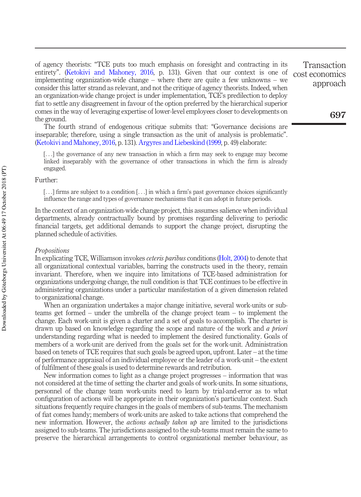of agency theorists: "TCE puts too much emphasis on foresight and contracting in its entirety". (Ketokivi and Mahoney, 2016, p. 131). Given that our context is one of implementing organization-wide change – where there are quite a few unknowns – we consider this latter strand as relevant, and not the critique of agency theorists. Indeed, when an organization-wide change project is under implementation, TCE's predilection to deploy fiat to settle any disagreement in favour of the option preferred by the hierarchical superior comes in the way of leveraging expertise of lower-level employees closer to developments on the ground.

The fourth strand of endogenous critique submits that: "Governance decisions are inseparable; therefore, using a single transaction as the unit of analysis is problematic". (Ketokivi and Mahoney, 2016, p. 131). Argyres and Liebeskind (1999, p. 49) elaborate:

[...] the governance of any new transaction in which a firm may seek to engage may become linked inseparably with the governance of other transactions in which the firm is already engaged.

#### Further:

[...] firms are subject to a condition [...] in which a firm's past governance choices significantly influence the range and types of governance mechanisms that it can adopt in future periods.

In the context of an organization-wide change project, this assumes salience when individual departments, already contractually bound by promises regarding delivering to periodic financial targets, get additional demands to support the change project, disrupting the planned schedule of activities.

#### *Propositions*

In explicating TCE, Williamson invokes *ceteris paribus* conditions (Holt, 2004) to denote that all organizational contextual variables, barring the constructs used in the theory, remain invariant. Therefore, when we inquire into limitations of TCE-based administration for organizations undergoing change, the null condition is that TCE continues to be effective in administering organizations under a particular manifestation of a given dimension related to organizational change.

When an organization undertakes a major change initiative, several work-units or subteams get formed – under the umbrella of the change project team – to implement the change. Each work-unit is given a charter and a set of goals to accomplish. The charter is drawn up based on knowledge regarding the scope and nature of the work and *a priori* understanding regarding what is needed to implement the desired functionality. Goals of members of a work-unit are derived from the goals set for the work-unit. Administration based on tenets of TCE requires that such goals be agreed upon, upfront. Later – at the time of performance appraisal of an individual employee or the leader of a work-unit – the extent of fulfilment of these goals is used to determine rewards and retribution.

New information comes to light as a change project progresses – information that was not considered at the time of setting the charter and goals of work-units. In some situations, personnel of the change team work-units need to learn by trial-and-error as to what configuration of actions will be appropriate in their organization's particular context. Such situations frequently require changes in the goals of members of sub-teams. The mechanism of fiat comes handy; members of work-units are asked to take actions that comprehend the new information. However, the *actions actually taken up* are limited to the jurisdictions assigned to sub-teams. The jurisdictions assigned to the sub-teams must remain the same to preserve the hierarchical arrangements to control organizational member behaviour, as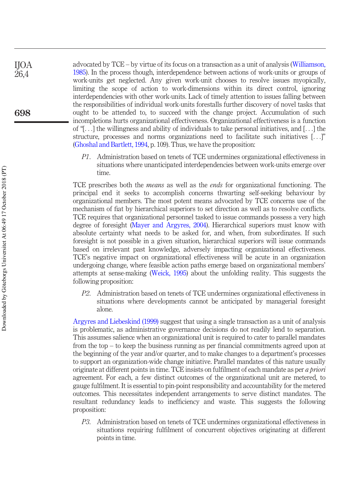advocated by TCE – by virtue of its focus on a transaction as a unit of analysis (Williamson, 1985). In the process though, interdependence between actions of work-units or groups of work-units get neglected. Any given work-unit chooses to resolve issues myopically, limiting the scope of action to work-dimensions within its direct control, ignoring interdependencies with other work-units. Lack of timely attention to issues falling between the responsibilities of individual work-units forestalls further discovery of novel tasks that ought to be attended to, to succeed with the change project. Accumulation of such incompletions hurts organizational effectiveness. Organizational effectiveness is a function of "[ $\dots$ ] the willingness and ability of individuals to take personal initiatives, and [ $\dots$ ] the structure, processes and norms organizations need to facilitate such initiatives [...]" (Ghoshal and Bartlett, 1994, p. 109). Thus, we have the proposition:

> *P1*. Administration based on tenets of TCE undermines organizational effectiveness in situations where unanticipated interdependencies between work-units emerge over time.

TCE prescribes both the *means* as well as the *ends* for organizational functioning. The principal end it seeks to accomplish concerns thwarting self-seeking behaviour by organizational members. The most potent means advocated by TCE concerns use of the mechanism of fiat by hierarchical superiors to set direction as well as to resolve conflicts. TCE requires that organizational personnel tasked to issue commands possess a very high degree of foresight (Mayer and Argyres, 2004). Hierarchical superiors must know with absolute certainty what needs to be asked for, and when, from subordinates. If such foresight is not possible in a given situation, hierarchical superiors will issue commands based on irrelevant past knowledge, adversely impacting organizational effectiveness. TCE's negative impact on organizational effectiveness will be acute in an organization undergoing change, where feasible action paths emerge based on organizational members' attempts at sense-making (Weick, 1995) about the unfolding reality. This suggests the following proposition:

*P2*. Administration based on tenets of TCE undermines organizational effectiveness in situations where developments cannot be anticipated by managerial foresight alone.

Argyres and Liebeskind (1999) suggest that using a single transaction as a unit of analysis is problematic, as administrative governance decisions do not readily lend to separation. This assumes salience when an organizational unit is required to cater to parallel mandates from the top – to keep the business running as per financial commitments agreed upon at the beginning of the year and/or quarter, and to make changes to a department's processes to support an organization-wide change initiative. Parallel mandates of this nature usually originate at different points in time. TCE insists on fulfilment of each mandate as per *a priori* agreement. For each, a few distinct outcomes of the organizational unit are metered, to gauge fulfilment. It is essential to pin-point responsibility and accountability for the metered outcomes. This necessitates independent arrangements to serve distinct mandates. The resultant redundancy leads to inefficiency and waste. This suggests the following proposition:

*P3*. Administration based on tenets of TCE undermines organizational effectiveness in situations requiring fulfilment of concurrent objectives originating at different points in time.

IJOA 26,4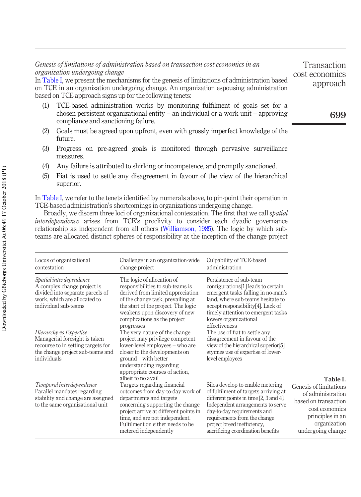#### *Genesis of limitations of administration based on transaction cost economics in an organization undergoing change*

In Table I, we present the mechanisms for the genesis of limitations of administration based on TCE in an organization undergoing change. An organization espousing administration based on TCE approach signs up for the following tenets:

- (1) TCE-based administration works by monitoring fulfilment of goals set for a chosen persistent organizational entity – an individual or a work-unit – approving compliance and sanctioning failure.
- (2) Goals must be agreed upon upfront, even with grossly imperfect knowledge of the future.
- (3) Progress on pre-agreed goals is monitored through pervasive surveillance measures.
- (4) Any failure is attributed to shirking or incompetence, and promptly sanctioned.
- (5) Fiat is used to settle any disagreement in favour of the view of the hierarchical superior.

In Table I, we refer to the tenets identified by numerals above, to pin-point their operation in TCE-based administration's shortcomings in organizations undergoing change.

Broadly, we discern three loci of organizational contestation. The first that we call *spatial interdependence* arises from TCE's proclivity to consider each dyadic governance relationship as independent from all others (Williamson, 1985). The logic by which subteams are allocated distinct spheres of responsibility at the inception of the change project

| Locus of organizational<br>contestation                                                                                                            | Challenge in an organization-wide<br>change project                                                                                                                                                                                                                                          | Culpability of TCE-based<br>administration                                                                                                                                                                                                                                                             |                                                                                                                                                            |
|----------------------------------------------------------------------------------------------------------------------------------------------------|----------------------------------------------------------------------------------------------------------------------------------------------------------------------------------------------------------------------------------------------------------------------------------------------|--------------------------------------------------------------------------------------------------------------------------------------------------------------------------------------------------------------------------------------------------------------------------------------------------------|------------------------------------------------------------------------------------------------------------------------------------------------------------|
| Spatial interdependence<br>A complex change project is<br>divided into separate parcels of<br>work, which are allocated to<br>individual sub-teams | The logic of allocation of<br>responsibilities to sub-teams is<br>derived from limited appreciation<br>of the change task, prevailing at<br>the start of the project. The logic<br>weakens upon discovery of new<br>complications as the project<br>progresses                               | Persistence of sub-team<br>configurations[1] leads to certain<br>emergent tasks falling in no-man's<br>land, where sub-teams hesitate to<br>accept responsibility[4]. Lack of<br>timely attention to emergent tasks<br>lowers organizational<br>effectiveness                                          |                                                                                                                                                            |
| Hierarchy vs Expertise<br>Managerial foresight is taken<br>recourse to in setting targets for<br>the change project sub-teams and<br>individuals   | The very nature of the change<br>project may privilege competent<br>lower-level employees – who are<br>closer to the developments on<br>$ground - with better$<br>understanding regarding<br>appropriate courses of action,                                                                  | The use of fiat to settle any<br>disagreement in favour of the<br>view of the hierarchical superior[5]<br>stymies use of expertise of lower-<br>level employees                                                                                                                                        |                                                                                                                                                            |
| Temporal interdependence<br>Parallel mandates regarding<br>stability and change are assigned<br>to the same organizational unit                    | albeit to no avail<br>Targets regarding financial<br>outcomes from day-to-day work of<br>departments and targets<br>concerning supporting the change<br>project arrive at different points in<br>time, and are not independent.<br>Fulfilment on either needs to be<br>metered independently | Silos develop to enable metering<br>of fulfilment of targets arriving at<br>different points in time $[2, 3 \text{ and } 4]$ .<br>Independent arrangements to serve<br>day-to-day requirements and<br>requirements from the change<br>project breed inefficiency,<br>sacrificing coordination benefits | Table I.<br>Genesis of limitations<br>of administration<br>based on transaction<br>cost economics<br>principles in an<br>organization<br>undergoing change |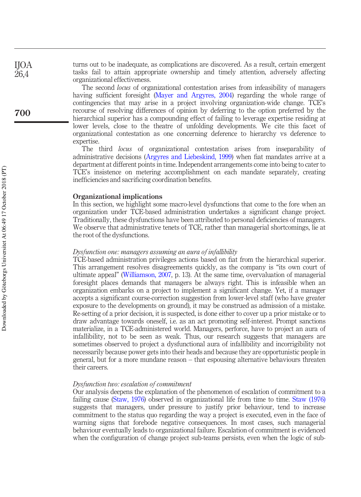turns out to be inadequate, as complications are discovered. As a result, certain emergent tasks fail to attain appropriate ownership and timely attention, adversely affecting organizational effectiveness.

The second *locus* of organizational contestation arises from infeasibility of managers having sufficient foresight (Mayer and Argyres, 2004) regarding the whole range of contingencies that may arise in a project involving organization-wide change. TCE's recourse of resolving differences of opinion by deferring to the option preferred by the hierarchical superior has a compounding effect of failing to leverage expertise residing at lower levels, close to the theatre of unfolding developments. We cite this facet of organizational contestation as one concerning deference to hierarchy vs deference to expertise.

The third *locus* of organizational contestation arises from inseparability of administrative decisions (Argyres and Liebeskind, 1999) when fiat mandates arrive at a department at different points in time. Independent arrangements come into being to cater to TCE's insistence on metering accomplishment on each mandate separately, creating inefficiencies and sacrificing coordination benefits.

#### Organizational implications

In this section, we highlight some macro-level dysfunctions that come to the fore when an organization under TCE-based administration undertakes a significant change project. Traditionally, these dysfunctions have been attributed to personal deficiencies of managers. We observe that administrative tenets of TCE, rather than managerial shortcomings, lie at the root of the dysfunctions.

#### *Dysfunction one: managers assuming an aura of infallibility*

TCE-based administration privileges actions based on fiat from the hierarchical superior. This arrangement resolves disagreements quickly, as the company is "its own court of ultimate appeal" (Williamson, 2007, p. 13). At the same time, overvaluation of managerial foresight places demands that managers be always right. This is infeasible when an organization embarks on a project to implement a significant change. Yet, if a manager accepts a significant course-correction suggestion from lower-level staff (who have greater exposure to the developments on ground), it may be construed as admission of a mistake. Re-setting of a prior decision, it is suspected, is done either to cover up a prior mistake or to draw advantage towards oneself, i.e. as an act promoting self-interest. Prompt sanctions materialize, in a TCE-administered world. Managers, perforce, have to project an aura of infallibility, not to be seen as weak. Thus, our research suggests that managers are sometimes observed to project a dysfunctional aura of infallibility and incorrigibility not necessarily because power gets into their heads and because they are opportunistic people in general, but for a more mundane reason – that espousing alternative behaviours threaten their careers.

#### *Dysfunction two: escalation of commitment*

Our analysis deepens the explanation of the phenomenon of escalation of commitment to a failing cause (Staw, 1976) observed in organizational life from time to time. Staw (1976) suggests that managers, under pressure to justify prior behaviour, tend to increase commitment to the status quo regarding the way a project is executed, even in the face of warning signs that forebode negative consequences. In most cases, such managerial behaviour eventually leads to organizational failure. Escalation of commitment is evidenced when the configuration of change project sub-teams persists, even when the logic of sub-

700

IJOA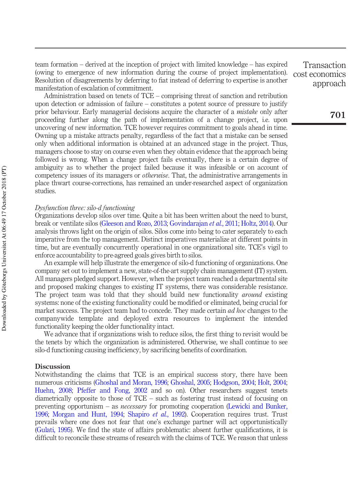team formation – derived at the inception of project with limited knowledge – has expired (owing to emergence of new information during the course of project implementation). Resolution of disagreements by deferring to fiat instead of deferring to expertise is another manifestation of escalation of commitment.

Administration based on tenets of TCE – comprising threat of sanction and retribution upon detection or admission of failure – constitutes a potent source of pressure to justify prior behaviour. Early managerial decisions acquire the character of a *mistake* only after proceeding further along the path of implementation of a change project, i.e. upon uncovering of new information. TCE however requires commitment to goals ahead in time. Owning up a mistake attracts penalty, regardless of the fact that a mistake can be sensed only when additional information is obtained at an advanced stage in the project. Thus, managers choose to stay on course even when they obtain evidence that the approach being followed is wrong. When a change project fails eventually, there is a certain degree of ambiguity as to whether the project failed because it was infeasible or on account of competency issues of its managers or *otherwise*. That, the administrative arrangements in place thwart course-corrections, has remained an under-researched aspect of organization studies.

#### *Dysfunction three: silo-d functioning*

Organizations develop silos over time. Quite a bit has been written about the need to burst, break or ventilate silos (Gleeson and Rozo, 2013; Govindarajan *et al.*, 2011; Holtz, 2014). Our analysis throws light on the origin of silos. Silos come into being to cater separately to each imperative from the top management. Distinct imperatives materialize at different points in time, but are eventually concurrently operational in one organizational site. TCE's vigil to enforce accountability to pre-agreed goals gives birth to silos.

An example will help illustrate the emergence of silo-d functioning of organizations. One company set out to implement a new, state-of-the-art supply chain management (IT) system. All managers pledged support. However, when the project team reached a departmental site and proposed making changes to existing IT systems, there was considerable resistance. The project team was told that they should build new functionality *around* existing systems: none of the existing functionality could be modified or eliminated, being crucial for market success. The project team had to concede. They made certain *ad hoc* changes to the companywide template and deployed extra resources to implement the intended functionality keeping the older functionality intact.

We advance that if organizations wish to reduce silos, the first thing to revisit would be the tenets by which the organization is administered. Otherwise, we shall continue to see silo-d functioning causing inefficiency, by sacrificing benefits of coordination.

#### **Discussion**

Notwithstanding the claims that TCE is an empirical success story, there have been numerous criticisms (Ghoshal and Moran, 1996; Ghoshal, 2005; Hodgson, 2004; Holt, 2004; Huehn, 2008; Pfeffer and Fong, 2002 and so on). Other researchers suggest tenets diametrically opposite to those of TCE – such as fostering trust instead of focusing on preventing opportunism – as *necessary* for promoting cooperation (Lewicki and Bunker, 1996; Morgan and Hunt, 1994; Shapiro *et al.*, 1992). Cooperation requires trust. Trust prevails where one does not fear that one's exchange partner will act opportunistically (Gulati, 1995). We find the state of affairs problematic: absent further qualifications, it is difficult to reconcile these streams of research with the claims of TCE. We reason that unless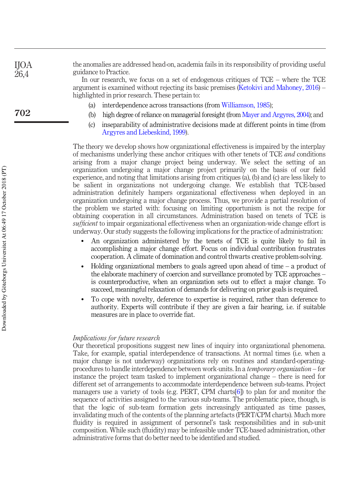| <b>IJOA</b> | the anomalies are addressed head-on, academia fails in its responsibility of providing useful |
|-------------|-----------------------------------------------------------------------------------------------|
| 264         | guidance to Practice.                                                                         |

In our research, we focus on a set of endogenous critiques of TCE – where the TCE argument is examined without rejecting its basic premises (Ketokivi and Mahoney, 2016) – highlighted in prior research. These pertain to:

- (a) interdependence across transactions (from Williamson, 1985);
- (b) high degree of reliance on managerial foresight (from Mayer and Argyres, 2004); and
- (c) inseparability of administrative decisions made at different points in time (from Argyres and Liebeskind, 1999).

The theory we develop shows how organizational effectiveness is impaired by the interplay of mechanisms underlying these anchor critiques with other tenets of TCE *and* conditions arising from a major change project being underway. We select the setting of an organization undergoing a major change project primarily on the basis of our field experience, and noting that limitations arising from critiques (a), (b) and (c) are less likely to be salient in organizations not undergoing change. We establish that TCE-based administration definitely hampers organizational effectiveness when deployed in an organization undergoing a major change process. Thus, we provide a partial resolution of the problem we started with: focusing on limiting opportunism is not the recipe for obtaining cooperation in all circumstances. Administration based on tenets of TCE is *suf*fi*cient* to impair organizational effectiveness when an organization-wide change effort is underway. Our study suggests the following implications for the practice of administration:

- An organization administered by the tenets of TCE is quite likely to fail in accomplishing a major change effort. Focus on individual contribution frustrates cooperation. A climate of domination and control thwarts creative problem-solving.
- Holding organizational members to goals agreed upon ahead of time a product of the elaborate machinery of coercion and surveillance promoted by TCE approaches – is counterproductive, when an organization sets out to effect a major change. To succeed, meaningful relaxation of demands for delivering on prior goals is required.
- To cope with novelty, deference to expertise is required, rather than deference to authority. Experts will contribute if they are given a fair hearing, i.e. if suitable measures are in place to override fiat.

#### *Implications for future research*

Our theoretical propositions suggest new lines of inquiry into organizational phenomena. Take, for example, spatial interdependence of transactions. At normal times (i.e. when a major change is not underway) organizations rely on routines and standard-operatingprocedures to handle interdependence between work-units. In a *temporary organization* – for instance the project team tasked to implement organizational change – there is need for different set of arrangements to accommodate interdependence between sub-teams. Project managers use a variety of tools (e.g. PERT, CPM charts[6]) to plan for and monitor the sequence of activities assigned to the various sub-teams. The problematic piece, though, is that the logic of sub-team formation gets increasingly antiquated as time passes, invalidating much of the contents of the planning artefacts (PERT/CPM charts). Much more fluidity is required in assignment of personnel's task responsibilities and in sub-unit composition. While such (fluidity) may be infeasible under TCE-based administration, other administrative forms that do better need to be identified and studied.

26,4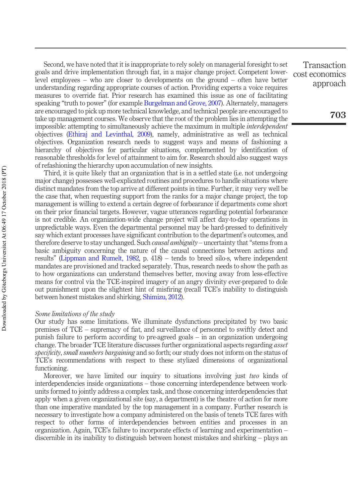Second, we have noted that it is inappropriate to rely solely on managerial foresight to set goals and drive implementation through fiat, in a major change project. Competent lowerlevel employees – who are closer to developments on the ground – often have better understanding regarding appropriate courses of action. Providing experts a voice requires measures to override fiat. Prior research has examined this issue as one of facilitating speaking "truth to power" (for example Burgelman and Grove, 2007). Alternately, managers are encouraged to pick up more technical knowledge, and technical people are encouraged to take up management courses. We observe that the root of the problem lies in attempting the impossible: attempting to simultaneously achieve the maximum in multiple *interdependent* objectives (Ethiraj and Levinthal, 2009), namely, administrative as well as technical objectives. Organization research needs to suggest ways and means of fashioning a hierarchy of objectives for particular situations, complemented by identification of reasonable thresholds for level of attainment to aim for. Research should also suggest ways of refashioning the hierarchy upon accumulation of new insights.

Third, it is quite likely that an organization that is in a settled state (i.e. not undergoing major change) possesses well-explicated routines and procedures to handle situations where distinct mandates from the top arrive at different points in time. Further, it may very well be the case that, when requesting support from the ranks for a major change project, the top management is willing to extend a certain degree of forbearance if departments come short on their prior financial targets. However, vague utterances regarding potential forbearance is not credible. An organization-wide change project will affect day-to-day operations in unpredictable ways. Even the departmental personnel may be hard-pressed to definitively say which extant processes have significant contribution to the department's outcomes, and therefore deserve to stay unchanged. Such *causal ambiguity* – uncertainty that "stems from a basic ambiguity concerning the nature of the causal connections between actions and results" (Lippman and Rumelt, 1982, p. 418) – tends to breed silo-s, where independent mandates are provisioned and tracked separately. Thus, research needs to show the path as to how organizations can understand themselves better, moving away from less-effective means for control via the TCE-inspired imagery of an angry divinity ever-prepared to dole out punishment upon the slightest hint of misfiring (recall TCE's inability to distinguish between honest mistakes and shirking, Shimizu, 2012).

#### *Some limitations of the study*

Our study has some limitations. We illuminate dysfunctions precipitated by two basic premises of TCE – supremacy of fiat, and surveillance of personnel to swiftly detect and punish failure to perform according to pre-agreed goals – in an organization undergoing change. The broader TCE literature discusses further organizational aspects regarding *asset speci*fi*city*, *small numbers bargaining* and so forth; our study does not inform on the status of TCE's recommendations with respect to these stylized dimensions of organizational functioning.

Moreover, we have limited our inquiry to situations involving just *two* kinds of interdependencies inside organizations – those concerning interdependence between workunits formed to jointly address a complex task, and those concerning interdependencies that apply when a given organizational site (say, a department) is the theatre of action for more than one imperative mandated by the top management in a company. Further research is necessary to investigate how a company administered on the basis of tenets TCE fares with respect to other forms of interdependencies between entities and processes in an organization. Again, TCE's failure to incorporate effects of learning and experimentation – discernible in its inability to distinguish between honest mistakes and shirking – plays an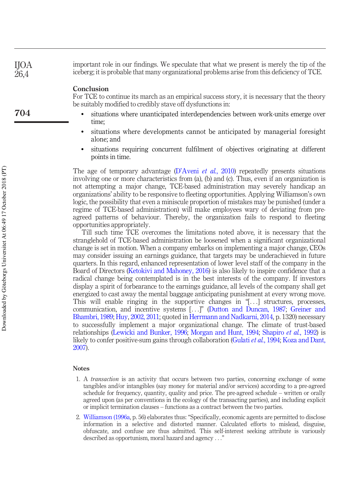important role in our findings. We speculate that what we present is merely the tip of the iceberg; it is probable that many organizational problems arise from this deficiency of TCE.

#### Conclusion

For TCE to continue its march as an empirical success story, it is necessary that the theory be suitably modified to credibly stave off dysfunctions in:

- situations where unanticipated interdependencies between work-units emerge over time;
- situations where developments cannot be anticipated by managerial foresight alone; and
- situations requiring concurrent fulfilment of objectives originating at different points in time.

The age of temporary advantage (D'Aveni *et al.*, 2010) repeatedly presents situations involving one or more characteristics from (a), (b) and (c). Thus, even if an organization is not attempting a major change, TCE-based administration may severely handicap an organizations' ability to be responsive to fleeting opportunities. Applying Williamson's own logic, the possibility that even a miniscule proportion of mistakes may be punished (under a regime of TCE-based administration) will make employees wary of deviating from preagreed patterns of behaviour. Thereby, the organization fails to respond to fleeting opportunities appropriately.

Till such time TCE overcomes the limitations noted above, it is necessary that the stranglehold of TCE-based administration be loosened when a significant organizational change is set in motion. When a company embarks on implementing a major change, CEOs may consider issuing an earnings guidance, that targets may be underachieved in future quarters. In this regard, enhanced representation of lower level staff of the company in the Board of Directors (Ketokivi and Mahoney, 2016) is also likely to inspire confidence that a radical change being contemplated is in the best interests of the company. If investors display a spirit of forbearance to the earnings guidance, all levels of the company shall get energized to cast away the mental baggage anticipating punishment at every wrong move. This will enable ringing in the supportive changes in "[...] structures, processes, communication, and incentive systems [...]" (Dutton and Duncan, 1987; Greiner and Bhambri, 1989; Huy, 2002, 2011; quoted in Herrmann and Nadkarni, 2014, p. 1320) necessary to successfully implement a major organizational change. The climate of trust-based relationships (Lewicki and Bunker, 1996; Morgan and Hunt, 1994; Shapiro *et al.*, 1992) is likely to confer positive-sum gains through collaboration (Gulati *et al.*, 1994; Koza and Dant, 2007).

#### **Notes**

- 1. A *transaction* is an activity that occurs between two parties, concerning exchange of some tangibles and/or intangibles (say money for material and/or services) according to a pre-agreed schedule for frequency, quantity, quality and price. The pre-agreed schedule – written or orally agreed upon (as per conventions in the ecology of the transacting parties), and including explicit or implicit termination clauses – functions as a contract between the two parties.
- 2. Williamson (1996a, p. 56) elaborates thus: "Specifically, economic agents are permitted to disclose information in a selective and distorted manner. Calculated efforts to mislead, disguise, obfuscate, and confuse are thus admitted. This self-interest seeking attribute is variously described as opportunism, moral hazard and agency  $\dots$

IJOA 26,4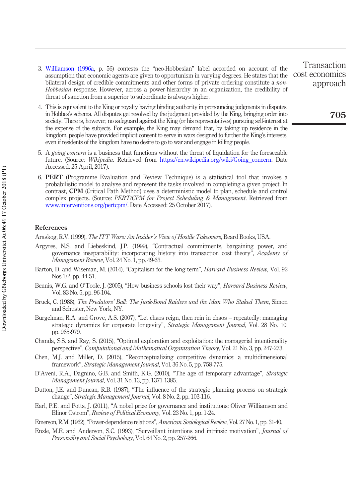- 3. Williamson (1996a, p. 56) contests the "neo-Hobbesian" label accorded on account of the assumption that economic agents are given to opportunism in varying degrees. He states that the bilateral design of credible commitments and other forms of private ordering constitute a *non-Hobbesian* response. However, across a power-hierarchy in an organization, the credibility of threat of sanction from a superior to subordinate is always higher.
- 4. This is equivalent to the King or royalty having binding authority in pronouncing judgments in disputes, in Hobbes's schema. All disputes get resolved by the judgment provided by the King, bringing order into society. There is, however, no safeguard against the King (or his representatives) pursuing self-interest at the expense of the subjects. For example, the King may demand that, by taking up residence in the kingdom, people have provided implicit consent to serve in wars designed to further the King's interests, even if residents of the kingdom have no desire to go to war and engage in killing people.
- 5. A *going concern* is a business that functions without the threat of liquidation for the foreseeable future. (Source: *Wikipedia*. Retrieved from https://en.wikipedia.org/wiki/Going\_concern. Date Accessed: 25 April, 2017).
- 6. PERT (Programme Evaluation and Review Technique) is a statistical tool that invokes a probabilistic model to analyse and represent the tasks involved in completing a given project. In contrast, CPM (Critical Path Method) uses a deterministic model to plan, schedule and control complex projects. (Source: *PERT/CPM for Project Scheduling & Management*. Retrieved from www.interventions.org/pertcpm/. Date Accessed: 25 October 2017).

#### References

Araskog, R.V. (1999), *The ITT Wars: An Insider*'*s View of Hostile Takeovers*, Beard Books, USA.

- Argyres, N.S. and Liebeskind, J.P. (1999), "Contractual commitments, bargaining power, and governance inseparability: incorporating history into transaction cost theory", *Academy of Management Review*, Vol. 24 No. 1, pp. 49-63.
- Barton, D. and Wiseman, M. (2014), "Capitalism for the long term", *Harvard Business Review*, Vol. 92 Nos 1/2, pp. 44-51.
- Bennis, W.G. and O'Toole, J. (2005), "How business schools lost their way", *Harvard Business Review*, Vol. 83 No. 5, pp. 96-104.
- Bruck, C. (1988), *The Predators*' *Ball: The Junk-Bond Raiders and the Man Who Staked Them*, Simon and Schuster, New York, NY.
- Burgelman, R.A. and Grove, A.S. (2007), "Let chaos reign, then rein in chaos repeatedly: managing strategic dynamics for corporate longevity", *Strategic Management Journal*, Vol. 28 No. 10, pp. 965-979.
- Chanda, S.S. and Ray, S. (2015), "Optimal exploration and exploitation: the managerial intentionality perspective", *Computational and Mathematical Organization Theory*, Vol. 21 No. 3, pp. 247-273.
- Chen, M.J. and Miller, D. (2015), "Reconceptualizing competitive dynamics: a multidimensional framework", *Strategic Management Journal*, Vol. 36 No. 5, pp. 758-775.
- D'Aveni, R.A., Dagnino, G.B. and Smith, K.G. (2010), "The age of temporary advantage", *Strategic Management Journal*, Vol. 31 No. 13, pp. 1371-1385.
- Dutton, J.E. and Duncan, R.B. (1987), "The influence of the strategic planning process on strategic change", *Strategic Management Journal*, Vol. 8 No. 2, pp. 103-116.
- Earl, P.E. and Potts, J. (2011), "A nobel prize for governance and institutions: Oliver Williamson and Elinor Ostrom", *Review of Political Economy*, Vol. 23 No. 1, pp. 1-24.
- Emerson, R.M. (1962),"Power-dependence relations", *American Sociological Review*, Vol. 27 No. 1, pp. 31-40.
- Enzle, M.E. and Anderson, S.C. (1993), "Surveillant intentions and intrinsic motivation", *Journal of Personality and Social Psychology*, Vol. 64 No. 2, pp. 257-266.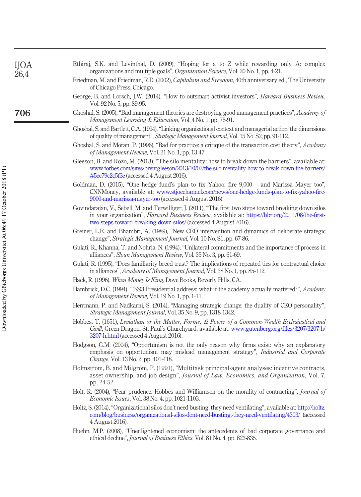| 26,4 |                                                                                                                                                                                                                                                                                         |
|------|-----------------------------------------------------------------------------------------------------------------------------------------------------------------------------------------------------------------------------------------------------------------------------------------|
|      | organizations and multiple goals", Organization Science, Vol. 20 No. 1, pp. 4-21.<br>Friedman, M. and Friedman, R.D. (2002), Capitalism and Freedom, 40th anniversary ed., The University                                                                                               |
|      | of Chicago Press, Chicago.                                                                                                                                                                                                                                                              |
|      | George, B. and Lorsch, J.W. (2014), "How to outsmart activist investors", <i>Harvard Business Review</i> ,<br>Vol. 92 No. 5, pp. 89-95.                                                                                                                                                 |
| 706  | Ghoshal, S. (2005), "Bad management theories are destroying good management practices", Academy of<br><i>Management Learning &amp; Education, Vol. 4 No. 1, pp. 75-91.</i>                                                                                                              |
|      | Ghoshal, S. and Bartlett, C.A. (1994), "Linking organizational context and managerial action: the dimensions<br>of quality of management", Strategic Management Journal, Vol. 15 No. S2, pp. 91-112.                                                                                    |
|      | Ghoshal, S. and Moran, P. (1996), "Bad for practice: a critique of the transaction cost theory", Academy<br><i>of Management Review, Vol. 21 No. 1, pp. 13-47.</i>                                                                                                                      |
|      | Gleeson, B. and Rozo, M. (2013), "The silo mentality: how to break down the barriers", available at:<br>www.forbes.com/sites/brentgleeson/2013/10/02/the-silo-mentality-how-to-break-down-the-barriers/<br>#5ec79c2c5f3e (accessed 4 August 2016).                                      |
|      | Goldman, D. (2015), "One hedge fund's plan to fix Yahoo: fire 9,000 - and Marissa Mayer too",<br>CNNMoney, available at: www.stjoechannel.com/news/one-hedge-funds-plan-to-fix-yahoo-fire-<br>9000-and-marissa-mayer-too (accessed 4 August 2016).                                      |
|      | Govindarajan, V., Sebell, M. and Terwilliger, J. (2011), "The first two steps toward breaking down silos<br>in your organization", <i>Harvard Business Review</i> , available at: https://hbr.org/2011/08/the-first-<br>two-steps-toward-breaking-down-silos/ (accessed 4 August 2016). |
|      | Greiner, L.E. and Bhambri, A. (1989), "New CEO intervention and dynamics of deliberate strategic<br>change", Strategic Management Journal, Vol. 10 No. S1, pp. 67-86.                                                                                                                   |
|      | Gulati, R., Khanna, T. and Nohria, N. (1994), "Unilateral commitments and the importance of process in<br>alliances", <i>Sloan Management Review</i> , Vol. 35 No. 3, pp. 61-69.                                                                                                        |
|      | Gulati, R. (1995), "Does familiarity breed trust? The implications of repeated ties for contractual choice<br>in alliances", <i>Academy of Management Journal</i> , Vol. 38 No. 1, pp. 85-112.                                                                                          |
|      | Hack, R. (1996), When Money Is King, Dove Books, Beverly Hills, CA.                                                                                                                                                                                                                     |
|      | Hambrick, D.C. (1994), "1993 Presidential address: what if the academy actually mattered?", Academy<br>of Management Review, Vol. 19 No. 1, pp. 1-11.                                                                                                                                   |
|      | Herrmann, P. and Nadkarni, S. (2014), "Managing strategic change: the duality of CEO personality",<br>Strategic Management Journal, Vol. 35 No. 9, pp. 1318-1342.                                                                                                                       |
|      | Hobbes, T. (1651), Leviathan or the Matter, Forme, & Power of a Common-Wealth Ecclesiastical and<br>Civill, Green Dragon, St. Paul's Churchyard, available at: www.gutenberg.org/files/3207/3207-h/<br>3207-h.html (accessed 4 August 2016).                                            |
|      | Hodgson, G.M. (2004), "Opportunism is not the only reason why firms exist: why an explanatory<br>emphasis on opportunism may mislead management strategy", Industrial and Corporate<br><i>Change</i> , Vol. 13 No. 2, pp. 401-418.                                                      |
|      | Holmstrom, B. and Milgrom, P. (1991), "Multitask principal-agent analyses: incentive contracts,<br>asset ownership, and job design", Journal of Law, Economics, and Organization, Vol. 7,<br>pp. 24-52.                                                                                 |
|      | Holt, R. (2004), "Fear prudence: Hobbes and Williamson on the morality of contracting", Journal of<br><i>Economic Issues, Vol. 38 No. 4, pp. 1021-1103.</i>                                                                                                                             |
|      | Holtz, S. (2014), "Organizational silos don't need busting: they need ventilating", available at: http://holtz.<br>com/blog/business/organizational-silos-dont-need-busting.-they-need-ventilating/4303/ (accessed<br>4 August 2016).                                                   |
|      | Huehn, M.P. (2008), "Unenlightened economism: the antecedents of bad corporate governance and<br>ethical decline", Journal of Business Ethics, Vol. 81 No. 4, pp. 823-835.                                                                                                              |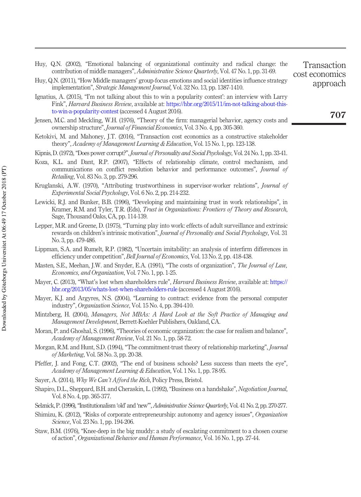- Huy, Q.N. (2002), "Emotional balancing of organizational continuity and radical change: the contribution of middle managers", *Administrative Science Quarterly*, Vol. 47 No. 1, pp. 31-69.
- Huy, Q.N. (2011), "How Middle managers' group-focus emotions and social identities influence strategy implementation", *Strategic Management Journal*, Vol. 32 No. 13, pp. 1387-1410.
- Ignatius, A. (2015), "I'm not talking about this to win a popularity contest': an interview with Larry Fink", *Harvard Business Review*, available at: https://hbr.org/2015/11/im-not-talking-about-thisto-win-a-popularity-contest (accessed 4 August 2016).
- Jensen, M.C. and Meckling, W.H. (1976), "Theory of the firm: managerial behavior, agency costs and ownership structure", *Journal of Financial Economics*, Vol. 3 No. 4, pp. 305-360.
- Ketokivi, M. and Mahoney, J.T. (2016), "Transaction cost economics as a constructive stakeholder theory", *Academy of Management Learning & Education*, Vol. 15 No. 1, pp. 123-138.
- Kipnis, D. (1972),"Does power corrupt?", *Journal of Personality and Social Psychology*, Vol. 24 No. 1, pp. 33-41.
- Koza, K.L. and Dant, R.P. (2007), "Effects of relationship climate, control mechanism, and communications on conflict resolution behavior and performance outcomes", *Journal of Retailing*, Vol. 83 No. 3, pp. 279-296.
- Kruglanski, A.W. (1970), "Attributing trustworthiness in supervisor-worker relations", *Journal of Experimental Social Psychology*, Vol. 6 No. 2, pp. 214-232.
- Lewicki, R.J. and Bunker, B.B. (1996), "Developing and maintaining trust in work relationships", in Kramer, R.M. and Tyler, T.R. (Eds), *Trust in Organizations: Frontiers of Theory and Research*, Sage, Thousand Oaks, CA, pp. 114-139.
- Lepper, M.R. and Greene, D. (1975), "Turning play into work: effects of adult surveillance and extrinsic rewards on children's intrinsic motivation", *Journal of Personality and Social Psychology*, Vol. 31 No. 3, pp. 479-486.
- Lippman, S.A. and Rumelt, R.P. (1982), "Uncertain imitability: an analysis of interfirm differences in efficiency under competition", *Bell Journal of Economics*, Vol. 13 No. 2, pp. 418-438.
- Masten, S.E., Meehan, J.W. and Snyder, E.A. (1991), "The costs of organization", *The Journal of Law, Economics, and Organization*, Vol. 7 No. 1, pp. 1-25.
- Mayer, C. (2013), "What's lost when shareholders rule", *Harvard Business Review*, available at: https:// hbr.org/2013/05/whats-lost-when-shareholders-rule (accessed 4 August 2016).
- Mayer, K.J. and Argyres, N.S. (2004), "Learning to contract: evidence from the personal computer industry", *Organization Science*, Vol. 15 No. 4, pp. 394-410.
- Mintzberg, H. (2004), *Managers, Not MBAs: A Hard Look at the Soft Practice of Managing and Management Development*, Berrett-Koehler Publishers, Oakland, CA.
- Moran, P. and Ghoshal, S. (1996), "Theories of economic organization: the case for realism and balance", *Academy of Management Review*, Vol. 21 No. 1, pp. 58-72.
- Morgan, R.M. and Hunt, S.D. (1994), "The commitment-trust theory of relationship marketing", *Journal of Marketing*, Vol. 58 No. 3, pp. 20-38.
- Pfeffer, J. and Fong, C.T. (2002), "The end of business schools? Less success than meets the eye", *Academy of Management Learning & Education*, Vol. 1 No. 1, pp. 78-95.
- Sayer, A. (2014), *Why We Can*'*t Afford the Rich*, Policy Press, Bristol.
- Shapiro, D.L., Sheppard, B.H. and Cheraskin, L. (1992), "Business on a handshake", *Negotiation Journal*, Vol. 8 No. 4, pp. 365-377.
- Selznick, P. (1996),"Institutionalism 'old' and 'new'", *Administrative Science Quarterly*, Vol. 41 No. 2, pp. 270-277.
- Shimizu, K. (2012), "Risks of corporate entrepreneurship: autonomy and agency issues", *Organization Science*, Vol. 23 No. 1, pp. 194-206.
- Staw, B.M. (1976), "Knee-deep in the big muddy: a study of escalating commitment to a chosen course of action", *Organizational Behavior and Human Performance*, Vol. 16 No. 1, pp. 27-44.